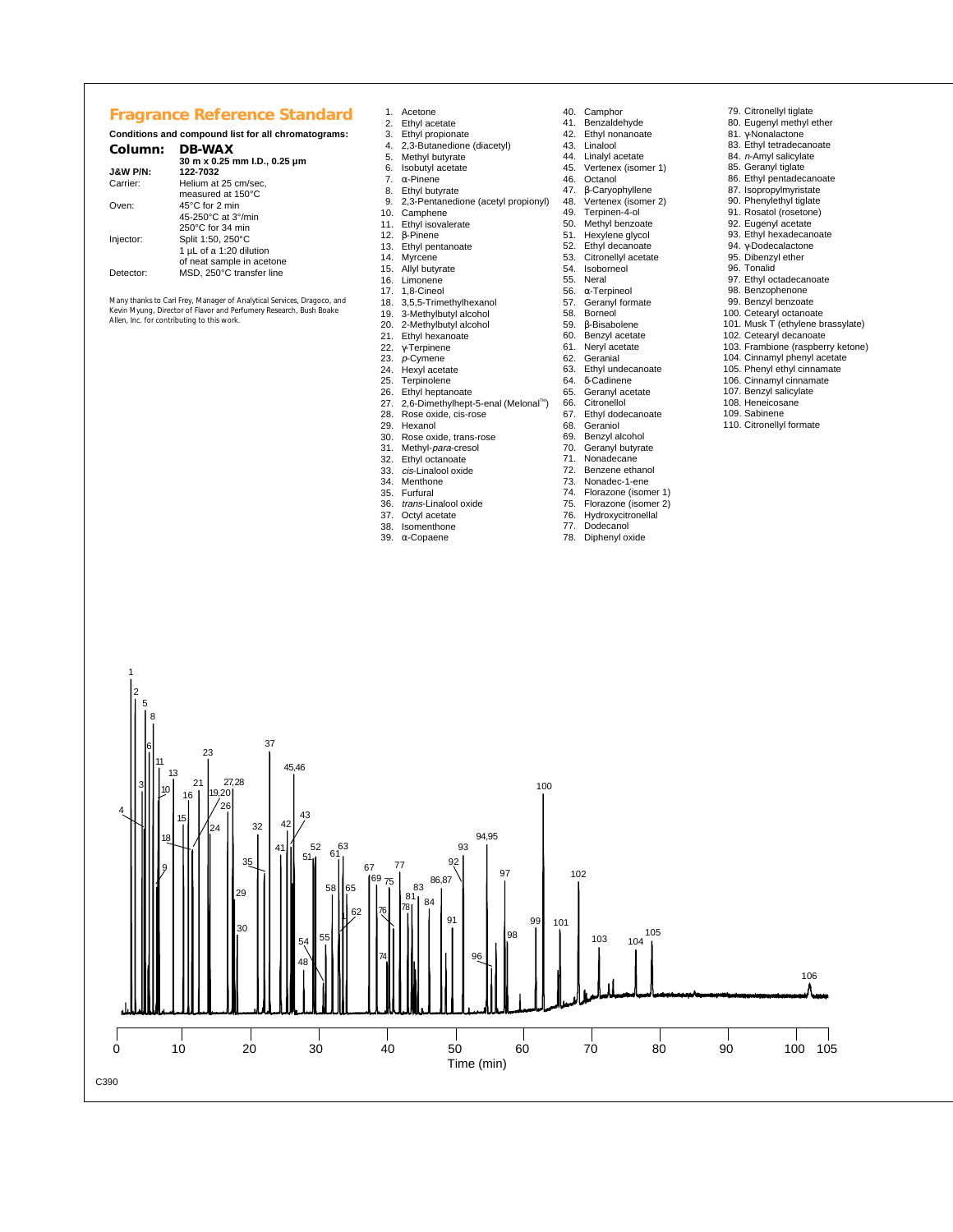## **Fragrance Reference Standard**

## **Conditions and compound list for all chromatograms: Column: DB-WAX**

## **30 m x 0.25 mm I.D., 0.25 µm**

| <b>J&amp;W P/N:</b> | 122-7032                  |
|---------------------|---------------------------|
| Carrier:            | Helium at 25 cm/sec,      |
|                     | measured at 150°C         |
| Oven:               | 45°C for 2 min            |
|                     | 45-250°C at 3°/min        |
|                     | 250°C for 34 min          |
| Injector:           | Split 1:50, 250°C         |
|                     | 1 µL of a 1:20 dilution   |
|                     | of neat sample in acetone |
| Detector:           | MSD, 250°C transfer line  |
|                     |                           |

3

11 10

13

15 16 21 24 26 27,28

 $2($ 

**2** 

35

32

37

41

 $42 \frac{43}{4}$ 

51  $52^{63}$ 

48  $_{54}$  55

58 65

62

67 69 75 77

 $\frac{62}{3}$   $\frac{76}{3}$   $\frac{78}{1}$ 

81 83 84 86,87

91

92 93

**97** 

98

101

102

103 104<br>104 1

100

94,95

74

45,46

30

23

9

18

4

C390

*Many thanks to Carl Frey, Manager of Analytical Services, Dragoco, and Kevin Myung, Director of Flavor and Perfumery Research, Bush Boake Allen, Inc. for contributing to this work.*

- 
- 1. Acetone<br>2. Ethyl ace
- 2. Ethyl acetate<br>3. Ethyl propiona Ethyl propionate
- 4. 2,3-Butanedione (diacetyl)
- 5. Methyl butyrate<br>6. Isobutyl acetate
- 6. Isobutyl acetate<br>7.  $\alpha$ -Pinene<br>8. Ethyl butyrate
- 7. α-Pinene 8. Ethyl butyrate
- 9. 2,3-Pentanedione (acetyl propionyl)
- Camphene
- 11. Ethyl isovalerate
- 12. β-Pinene
- 13. Ethyl pentanoate<br>14. Myrcene
- 14. Myrcene 15. Allyl butyrate 16. Limonene
- 
- 
- 17. 1,8-Cineol<br>18. 3.5.5-Trim 18. 3,5,5-Trimethylhexanol<br>19. 3-Methylbutyl alcohol
- 
- 19. 3-Methylbutyl alcohol 20. 2-Methylbutyl alcohol
- 21. Ethyl hexanoate<br>22.  $\gamma$ -Terpinene<br>23. *p*-Cymene
- γ-Terpinene
- 23. p-Cymene<br>24. Hexyl aceta
- 24. Hexyl acetate
- 25. Terpinolene<br>26. Ethyl hentan
- 26. Ethyl heptanoate<br>27. 2,6-Dimethylhept 27. 2,6-Dimethylhept-5-enal (Melonal™)<br>28. Rose oxide, cis-rose
- 
- 
- 28. Rose oxide, cis-rose<br>29. Hexanol<br>30. Rose oxide, trans-ro 29. Hexanol 30. Rose oxide, trans-rose
- 31. Methyl-*para*-cresol<br>32. Ethyl octanoate
- 32. Ethyl octanoate<br>33 cis-Linalool oxid
- 33. cis-Linalool oxide<br>34. Menthone
- 34. Menthone
- 35. Furfural<br>36. trans-Lin
- trans-Linalool oxide
- 37. Octyl acetate 38. Isomenthone
- 
- 

0 10 20 30 40 50 60 70 80 90 100 105 Time (min)

96

39. α-Copaene

- 40. Camphor<br>41. Benzalde
- 41. Benzaldehyde<br>42. Ethyl nonanoa Ethyl nonanoate
- 43. Linalool<br>44. Linalyl a
- 44. Linalyl acetate<br>45. Vertenex (ison
- 45. Vertenex (isomer 1)<br>46. Octanol
- 46. Octanol<br>47. β-Caryo 47. β-Caryophyllene
- 48. Vertenex (isomer 2)<br>49. Terpinen-4-ol
- Terpinen-4-ol
- 50. Methyl benzoate 51. Hexylene glycol
- 52. Ethyl decanoate<br>53. Citronellyl acetat<br>54. Isoborneol
	- Citronellyl acetate
- 54. Isoborneol
- 55. Neral<br>56.  $\alpha$ -Terp 56. α-Terpineol
- 57. Geranyl formate
- 58. Borneol<br>59. β-Bisabo
- 59. β-Bisabolene 60. Benzyl acetate<br>61. Nervl acetate
- 61. Neryl acetate
- 62. Geranial<br>63. Ethyl und
- 63. Ethyl undecanoate<br>64.  $\delta$ -Cadinene
- 64. δ-Cadinene 65. Geranyl acetate
- 66. Citronellol<br>67. Ethyl dode
- 67. Ethyl dodecanoate<br>68. Geraniol<br>69. Benzyl alcohol
- 68. Geraniol 69. Benzyl alcohol
- 
- Nonadecane
- 70. Geranyl butyrate<br>71. Nonadecane<br>72. Benzene ethanol
- 72. Benzene ethanol<br>73. Nonadec-1-ene
- 73. Nonadec-1-ene<br>74. Florazone (isom
- 74. Florazone (isomer 1)<br>75. Florazone (isomer 2)<br>76. Hydroxycitronellal
- 75. Florazone (isomer 2) 76. Hydroxycitronellal
- 77. Dodecanol
- 78. Diphenyl oxide
- 79. Citronellyl tiglate
- 80. Eugenyl methyl ether
- 81. γ-Nonalactone 83. Ethyl tetradecanoate
- 
- 84. <sup>n</sup>-Amyl salicylate
- 85. Geranyl tiglate
- 86. Ethyl pentadecanoate
- 87. Isopropylmyristate 90. Phenylethyl tiglate
- 
- 91. Rosatol (rosetone) 92. Eugenyl acetate
- 
- 93. Ethyl hexadecanoate
- 94. γ-Dodecalactone 95. Dibenzyl ether 96. Tonalid
- 
- 97. Ethyl octadecanoate
- 98. Benzophenone
- 99. Benzyl benzoate
- 100. Cetearyl octanoate
- 101. Musk T (ethylene brassylate)
- 102. Cetearyl decanoate 103. Frambione (raspberry ketone)

106

- 104. Cinnamyl phenyl acetate
- 105. Phenyl ethyl cinnamate
- 106. Cinnamyl cinnamate 107. Benzyl salicylate
- 
- 108. Heneicosane
- 109. Sabinene 110. Citronellyl formate